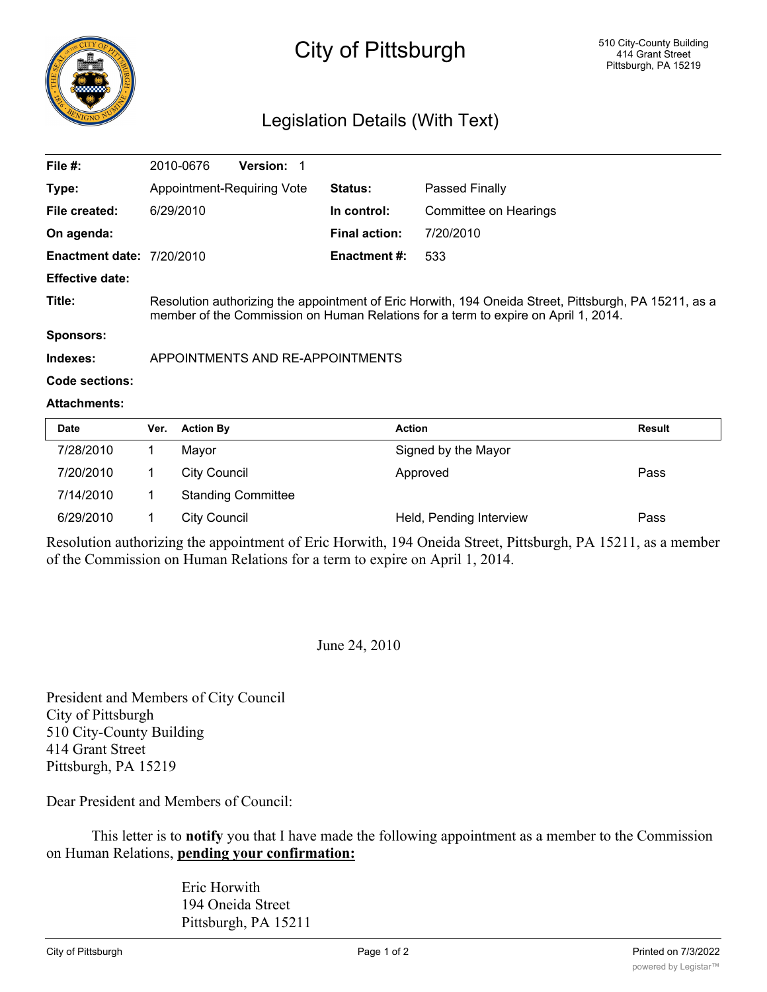

# City of Pittsburgh

## Legislation Details (With Text)

| File #:                          | 2010-0676                                                                                                                                                                                   | <b>Version:</b> |                      |                       |  |  |
|----------------------------------|---------------------------------------------------------------------------------------------------------------------------------------------------------------------------------------------|-----------------|----------------------|-----------------------|--|--|
| Type:                            | Appointment-Requiring Vote                                                                                                                                                                  |                 | <b>Status:</b>       | Passed Finally        |  |  |
| File created:                    | 6/29/2010                                                                                                                                                                                   |                 | In control:          | Committee on Hearings |  |  |
| On agenda:                       |                                                                                                                                                                                             |                 | <b>Final action:</b> | 7/20/2010             |  |  |
| <b>Enactment date: 7/20/2010</b> |                                                                                                                                                                                             |                 | <b>Enactment #:</b>  | 533                   |  |  |
| <b>Effective date:</b>           |                                                                                                                                                                                             |                 |                      |                       |  |  |
| Title:                           | Resolution authorizing the appointment of Eric Horwith, 194 Oneida Street, Pittsburgh, PA 15211, as a<br>member of the Commission on Human Relations for a term to expire on April 1, 2014. |                 |                      |                       |  |  |
| Sponsors:                        |                                                                                                                                                                                             |                 |                      |                       |  |  |
| Indexes:                         | APPOINTMENTS AND RE-APPOINTMENTS                                                                                                                                                            |                 |                      |                       |  |  |

#### **Code sections:**

#### **Attachments:**

| Date      | Ver. | <b>Action By</b>          | <b>Action</b>           | <b>Result</b> |
|-----------|------|---------------------------|-------------------------|---------------|
| 7/28/2010 |      | Mavor                     | Signed by the Mayor     |               |
| 7/20/2010 |      | City Council              | Approved                | Pass          |
| 7/14/2010 |      | <b>Standing Committee</b> |                         |               |
| 6/29/2010 |      | <b>City Council</b>       | Held, Pending Interview | Pass          |

Resolution authorizing the appointment of Eric Horwith, 194 Oneida Street, Pittsburgh, PA 15211, as a member of the Commission on Human Relations for a term to expire on April 1, 2014.

#### June 24, 2010

President and Members of City Council City of Pittsburgh 510 City-County Building 414 Grant Street Pittsburgh, PA 15219

Dear President and Members of Council:

This letter is to **notify** you that I have made the following appointment as a member to the Commission on Human Relations, **pending your confirmation:**

> Eric Horwith 194 Oneida Street Pittsburgh, PA 15211